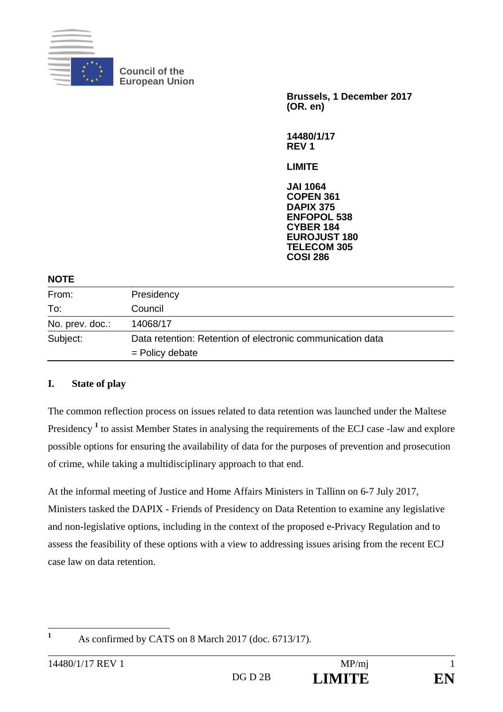

**Council of the European Union** 

> **Brussels, 1 December 2017 (OR. en)**

**14480/1/17 REV 1** 

**LIMITE** 

**JAI 1064 COPEN 361 DAPIX 375 ENFOPOL 538 CYBER 184 EUROJUST 180 TELECOM 305 COSI 286**

#### **NOTE**

| From:           | Presidency                                                 |  |
|-----------------|------------------------------------------------------------|--|
| To:             | Council                                                    |  |
| No. prev. doc.: | 14068/17                                                   |  |
| Subject:        | Data retention: Retention of electronic communication data |  |
|                 | $=$ Policy debate                                          |  |

# **I. State of play**

The common reflection process on issues related to data retention was launched under the Maltese Presidency<sup>1</sup> to assist Member States in analysing the requirements of the ECJ case -law and explore possible options for ensuring the availability of data for the purposes of prevention and prosecution of crime, while taking a multidisciplinary approach to that end.

At the informal meeting of Justice and Home Affairs Ministers in Tallinn on 6-7 July 2017, Ministers tasked the DAPIX - Friends of Presidency on Data Retention to examine any legislative and non-legislative options, including in the context of the proposed e-Privacy Regulation and to assess the feasibility of these options with a view to addressing issues arising from the recent ECJ case law on data retention.

 **1**

As confirmed by CATS on 8 March 2017 (doc. 6713/17).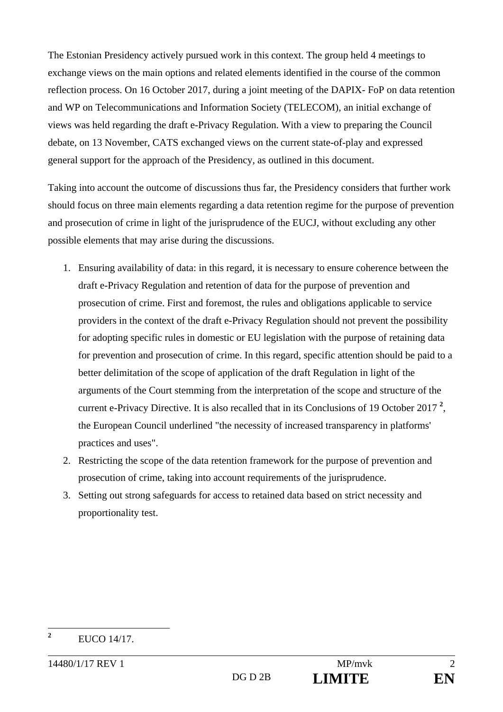The Estonian Presidency actively pursued work in this context. The group held 4 meetings to exchange views on the main options and related elements identified in the course of the common reflection process. On 16 October 2017, during a joint meeting of the DAPIX- FoP on data retention and WP on Telecommunications and Information Society (TELECOM), an initial exchange of views was held regarding the draft e-Privacy Regulation. With a view to preparing the Council debate, on 13 November, CATS exchanged views on the current state-of-play and expressed general support for the approach of the Presidency, as outlined in this document.

Taking into account the outcome of discussions thus far, the Presidency considers that further work should focus on three main elements regarding a data retention regime for the purpose of prevention and prosecution of crime in light of the jurisprudence of the EUCJ, without excluding any other possible elements that may arise during the discussions.

- 1. Ensuring availability of data: in this regard, it is necessary to ensure coherence between the draft e-Privacy Regulation and retention of data for the purpose of prevention and prosecution of crime. First and foremost, the rules and obligations applicable to service providers in the context of the draft e-Privacy Regulation should not prevent the possibility for adopting specific rules in domestic or EU legislation with the purpose of retaining data for prevention and prosecution of crime. In this regard, specific attention should be paid to a better delimitation of the scope of application of the draft Regulation in light of the arguments of the Court stemming from the interpretation of the scope and structure of the current e-Privacy Directive. It is also recalled that in its Conclusions of 19 October 2017 **<sup>2</sup>** , the European Council underlined "the necessity of increased transparency in platforms' practices and uses".
- 2. Restricting the scope of the data retention framework for the purpose of prevention and prosecution of crime, taking into account requirements of the jurisprudence.
- 3. Setting out strong safeguards for access to retained data based on strict necessity and proportionality test.

 **2** EUCO 14/17.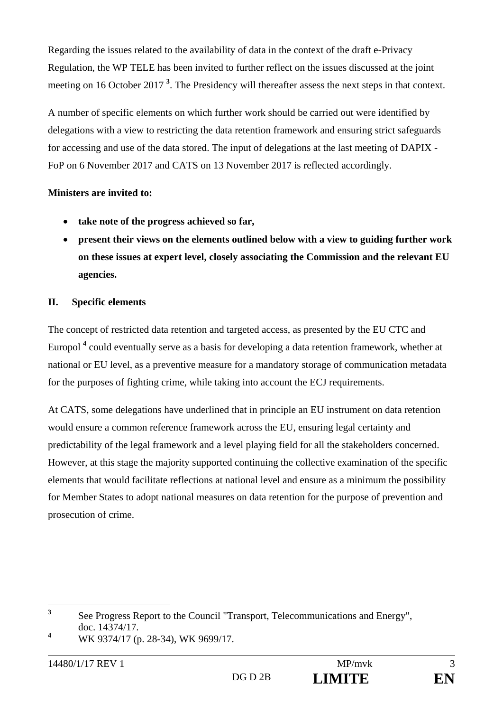Regarding the issues related to the availability of data in the context of the draft e-Privacy Regulation, the WP TELE has been invited to further reflect on the issues discussed at the joint meeting on 16 October 2017<sup>3</sup>. The Presidency will thereafter assess the next steps in that context.

A number of specific elements on which further work should be carried out were identified by delegations with a view to restricting the data retention framework and ensuring strict safeguards for accessing and use of the data stored. The input of delegations at the last meeting of DAPIX - FoP on 6 November 2017 and CATS on 13 November 2017 is reflected accordingly.

# **Ministers are invited to:**

- **take note of the progress achieved so far,**
- **present their views on the elements outlined below with a view to guiding further work on these issues at expert level, closely associating the Commission and the relevant EU agencies.**

# **II. Specific elements**

The concept of restricted data retention and targeted access, as presented by the EU CTC and Europol <sup>4</sup> could eventually serve as a basis for developing a data retention framework, whether at national or EU level, as a preventive measure for a mandatory storage of communication metadata for the purposes of fighting crime, while taking into account the ECJ requirements.

At CATS, some delegations have underlined that in principle an EU instrument on data retention would ensure a common reference framework across the EU, ensuring legal certainty and predictability of the legal framework and a level playing field for all the stakeholders concerned. However, at this stage the majority supported continuing the collective examination of the specific elements that would facilitate reflections at national level and ensure as a minimum the possibility for Member States to adopt national measures on data retention for the purpose of prevention and prosecution of crime.

 **3** See Progress Report to the Council "Transport, Telecommunications and Energy", doc. 14374/17.

**<sup>4</sup>** WK 9374/17 (p. 28-34), WK 9699/17.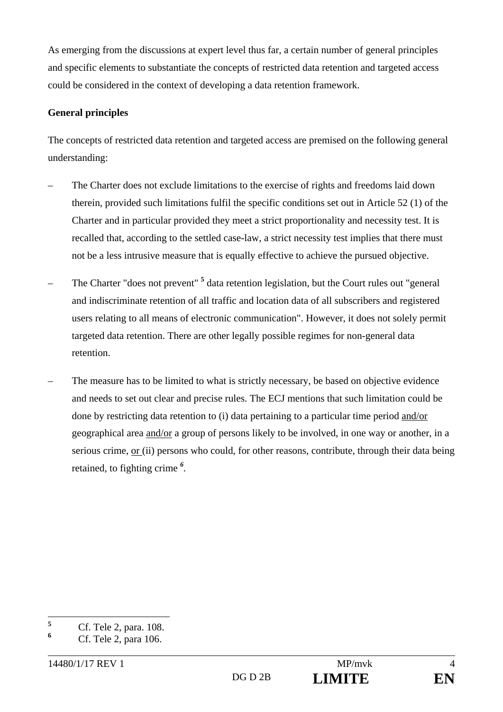As emerging from the discussions at expert level thus far, a certain number of general principles and specific elements to substantiate the concepts of restricted data retention and targeted access could be considered in the context of developing a data retention framework.

### **General principles**

The concepts of restricted data retention and targeted access are premised on the following general understanding:

- The Charter does not exclude limitations to the exercise of rights and freedoms laid down therein, provided such limitations fulfil the specific conditions set out in Article 52 (1) of the Charter and in particular provided they meet a strict proportionality and necessity test. It is recalled that, according to the settled case-law, a strict necessity test implies that there must not be a less intrusive measure that is equally effective to achieve the pursued objective.
- The Charter "does not prevent" **<sup>5</sup>** data retention legislation, but the Court rules out "general and indiscriminate retention of all traffic and location data of all subscribers and registered users relating to all means of electronic communication". However, it does not solely permit targeted data retention. There are other legally possible regimes for non-general data retention.
- The measure has to be limited to what is strictly necessary, be based on objective evidence and needs to set out clear and precise rules. The ECJ mentions that such limitation could be done by restricting data retention to (i) data pertaining to a particular time period and/or geographical area and/or a group of persons likely to be involved, in one way or another, in a serious crime, or (ii) persons who could, for other reasons, contribute, through their data being retained, to fighting crime *<sup>6</sup> .*

 **5** Cf. Tele 2, para. 108.

**<sup>6</sup>** Cf. Tele 2, para 106.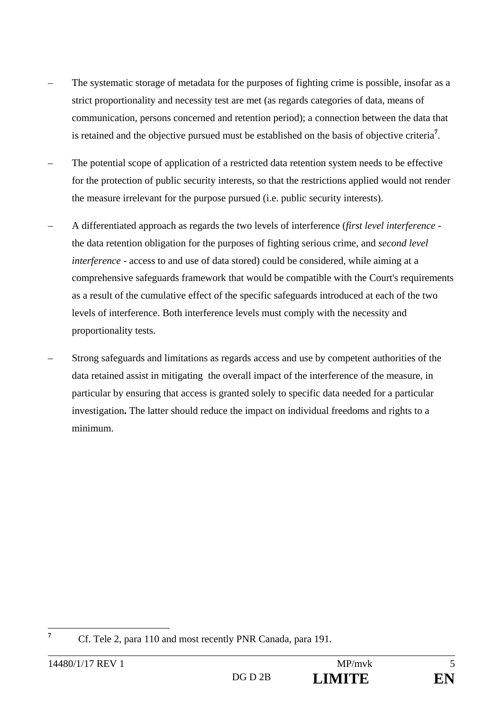- The systematic storage of metadata for the purposes of fighting crime is possible, insofar as a strict proportionality and necessity test are met (as regards categories of data, means of communication, persons concerned and retention period); a connection between the data that is retained and the objective pursued must be established on the basis of objective criteria**<sup>7</sup>** .
- The potential scope of application of a restricted data retention system needs to be effective for the protection of public security interests, so that the restrictions applied would not render the measure irrelevant for the purpose pursued (i.e. public security interests).
- A differentiated approach as regards the two levels of interference (*first level interference* the data retention obligation for the purposes of fighting serious crime, and *second level interference* - access to and use of data stored) could be considered, while aiming at a comprehensive safeguards framework that would be compatible with the Court's requirements as a result of the cumulative effect of the specific safeguards introduced at each of the two levels of interference. Both interference levels must comply with the necessity and proportionality tests.
- Strong safeguards and limitations as regards access and use by competent authorities of the data retained assist in mitigating the overall impact of the interference of the measure, in particular by ensuring that access is granted solely to specific data needed for a particular investigation**.** The latter should reduce the impact on individual freedoms and rights to a minimum.

**7**

Cf. Tele 2, para 110 and most recently PNR Canada, para 191.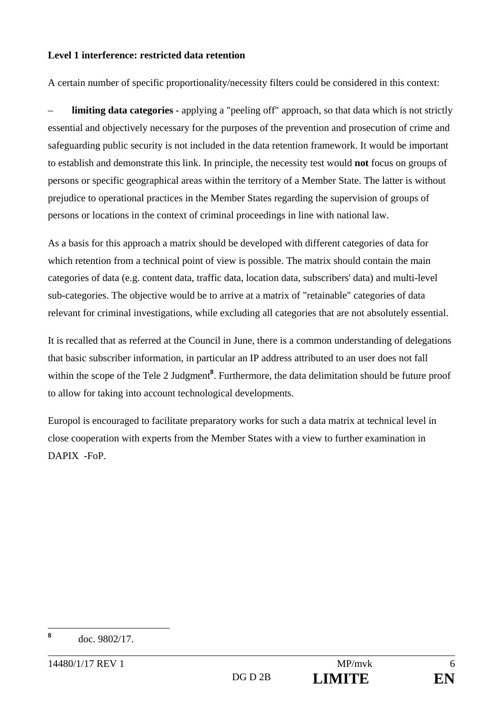### **Level 1 interference: restricted data retention**

A certain number of specific proportionality/necessity filters could be considered in this context:

**limiting data categories** - applying a "peeling off" approach, so that data which is not strictly essential and objectively necessary for the purposes of the prevention and prosecution of crime and safeguarding public security is not included in the data retention framework. It would be important to establish and demonstrate this link. In principle, the necessity test would **not** focus on groups of persons or specific geographical areas within the territory of a Member State. The latter is without prejudice to operational practices in the Member States regarding the supervision of groups of persons or locations in the context of criminal proceedings in line with national law.

As a basis for this approach a matrix should be developed with different categories of data for which retention from a technical point of view is possible. The matrix should contain the main categories of data (e.g. content data, traffic data, location data, subscribers' data) and multi-level sub-categories. The objective would be to arrive at a matrix of "retainable" categories of data relevant for criminal investigations, while excluding all categories that are not absolutely essential.

It is recalled that as referred at the Council in June, there is a common understanding of delegations that basic subscriber information, in particular an IP address attributed to an user does not fall within the scope of the Tele 2 Judgment<sup>8</sup>. Furthermore, the data delimitation should be future proof to allow for taking into account technological developments.

Europol is encouraged to facilitate preparatory works for such a data matrix at technical level in close cooperation with experts from the Member States with a view to further examination in DAPIX -FoP.

**8**

doc. 9802/17.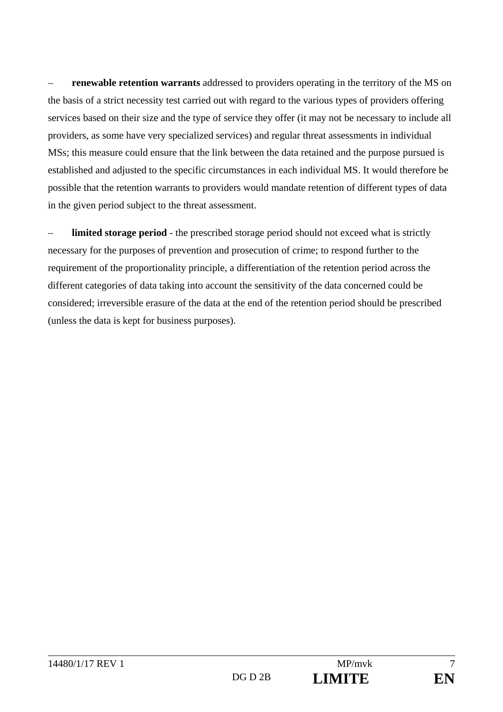– **renewable retention warrants** addressed to providers operating in the territory of the MS on the basis of a strict necessity test carried out with regard to the various types of providers offering services based on their size and the type of service they offer (it may not be necessary to include all providers, as some have very specialized services) and regular threat assessments in individual MSs; this measure could ensure that the link between the data retained and the purpose pursued is established and adjusted to the specific circumstances in each individual MS. It would therefore be possible that the retention warrants to providers would mandate retention of different types of data in the given period subject to the threat assessment.

**limited storage period** - the prescribed storage period should not exceed what is strictly necessary for the purposes of prevention and prosecution of crime; to respond further to the requirement of the proportionality principle, a differentiation of the retention period across the different categories of data taking into account the sensitivity of the data concerned could be considered; irreversible erasure of the data at the end of the retention period should be prescribed (unless the data is kept for business purposes).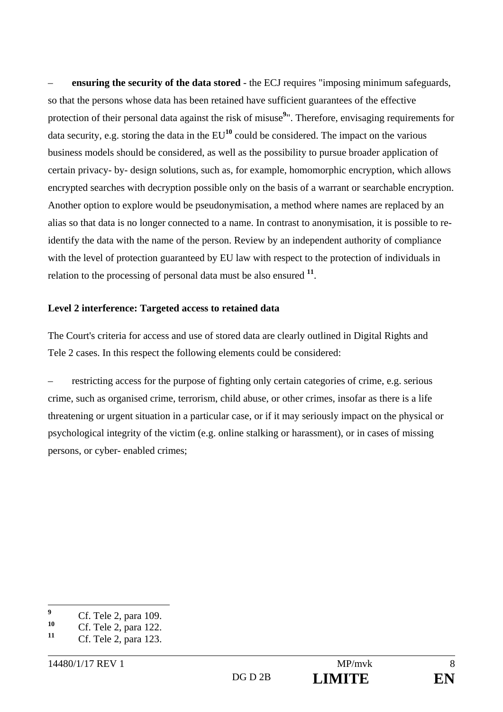– **ensuring the security of the data stored** - the ECJ requires "imposing minimum safeguards, so that the persons whose data has been retained have sufficient guarantees of the effective protection of their personal data against the risk of misuse<sup>9</sup>". Therefore, envisaging requirements for data security, e.g. storing the data in the  $EU^{10}$  could be considered. The impact on the various business models should be considered, as well as the possibility to pursue broader application of certain privacy- by- design solutions, such as, for example, homomorphic encryption, which allows encrypted searches with decryption possible only on the basis of a warrant or searchable encryption. Another option to explore would be pseudonymisation, a method where names are replaced by an alias so that data is no longer connected to a name. In contrast to anonymisation, it is possible to reidentify the data with the name of the person. Review by an independent authority of compliance with the level of protection guaranteed by EU law with respect to the protection of individuals in relation to the processing of personal data must be also ensured **<sup>11</sup>**.

### **Level 2 interference: Targeted access to retained data**

The Court's criteria for access and use of stored data are clearly outlined in Digital Rights and Tele 2 cases. In this respect the following elements could be considered:

– restricting access for the purpose of fighting only certain categories of crime, e.g. serious crime, such as organised crime, terrorism, child abuse, or other crimes, insofar as there is a life threatening or urgent situation in a particular case, or if it may seriously impact on the physical or psychological integrity of the victim (e.g. online stalking or harassment), or in cases of missing persons, or cyber- enabled crimes;

 **9** <sup>9</sup> Cf. Tele 2, para 109.

<sup>&</sup>lt;sup>10</sup> Cf. Tele 2, para 122.

**<sup>11</sup>** Cf. Tele 2, para 123.